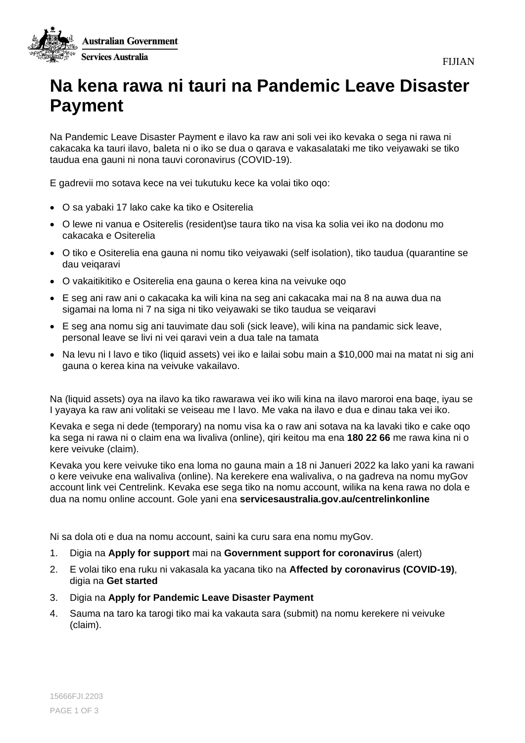

## **Na kena rawa ni tauri na Pandemic Leave Disaster Payment**

Na Pandemic Leave Disaster Payment e ilavo ka raw ani soli vei iko kevaka o sega ni rawa ni cakacaka ka tauri ilavo, baleta ni o iko se dua o qarava e vakasalataki me tiko veiyawaki se tiko taudua ena gauni ni nona tauvi coronavirus (COVID-19).

E gadrevii mo sotava kece na vei tukutuku kece ka volai tiko oqo:

- O sa yabaki 17 lako cake ka tiko e Ositerelia
- O lewe ni vanua e Ositerelis (resident)se taura tiko na visa ka solia vei iko na dodonu mo cakacaka e Ositerelia
- O tiko e Ositerelia ena gauna ni nomu tiko veiyawaki (self isolation), tiko taudua (quarantine se dau veiqaravi
- O vakaitikitiko e Ositerelia ena gauna o kerea kina na veivuke oqo
- E seg ani raw ani o cakacaka ka wili kina na seg ani cakacaka mai na 8 na auwa dua na sigamai na loma ni 7 na siga ni tiko veiyawaki se tiko taudua se veiqaravi
- E seg ana nomu sig ani tauvimate dau soli (sick leave), wili kina na pandamic sick leave, personal leave se livi ni vei qaravi vein a dua tale na tamata
- Na levu ni I lavo e tiko (liquid assets) vei iko e lailai sobu main a \$10,000 mai na matat ni sig ani gauna o kerea kina na veivuke vakailavo.

Na (liquid assets) oya na ilavo ka tiko rawarawa vei iko wili kina na ilavo maroroi ena baqe, iyau se I yayaya ka raw ani volitaki se veiseau me I lavo. Me vaka na ilavo e dua e dinau taka vei iko.

Kevaka e sega ni dede (temporary) na nomu visa ka o raw ani sotava na ka lavaki tiko e cake oqo ka sega ni rawa ni o claim ena wa livaliva (online), qiri keitou ma ena **180 22 66** me rawa kina ni o kere veivuke (claim).

Kevaka you kere veivuke tiko ena loma no gauna main a 18 ni Janueri 2022 ka lako yani ka rawani o kere veivuke ena walivaliva (online). Na kerekere ena walivaliva, o na gadreva na nomu myGov account link vei Centrelink. Kevaka ese sega tiko na nomu account, wilika na kena rawa no dola e dua na nomu online account. Gole yani ena **servicesaustralia.gov.au/centrelinkonline**

Ni sa dola oti e dua na nomu account, saini ka curu sara ena nomu myGov.

- 1. Digia na **Apply for support** mai na **Government support for coronavirus** (alert)
- 2. E volai tiko ena ruku ni vakasala ka yacana tiko na **Affected by coronavirus (COVID-19)**, digia na **Get started**
- 3. Digia na **Apply for Pandemic Leave Disaster Payment**
- 4. Sauma na taro ka tarogi tiko mai ka vakauta sara (submit) na nomu kerekere ni veivuke (claim).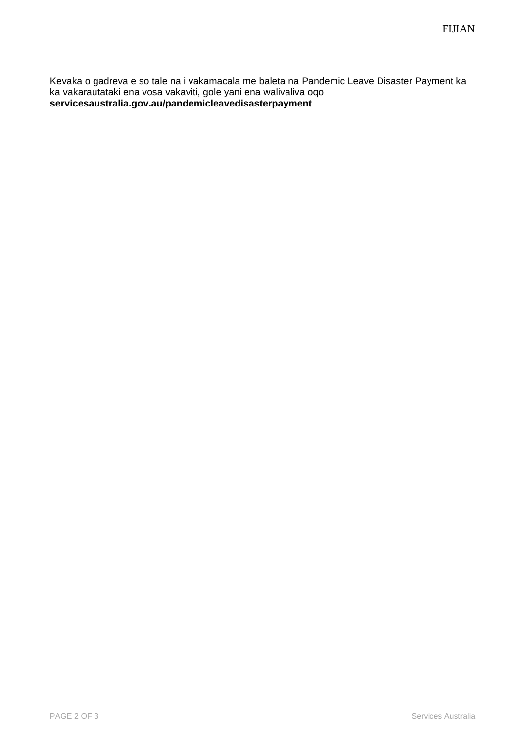Kevaka o gadreva e so tale na i vakamacala me baleta na Pandemic Leave Disaster Payment ka ka vakarautataki ena vosa vakaviti, gole yani ena walivaliva oqo **servicesaustralia.gov.au/pandemicleavedisasterpayment**